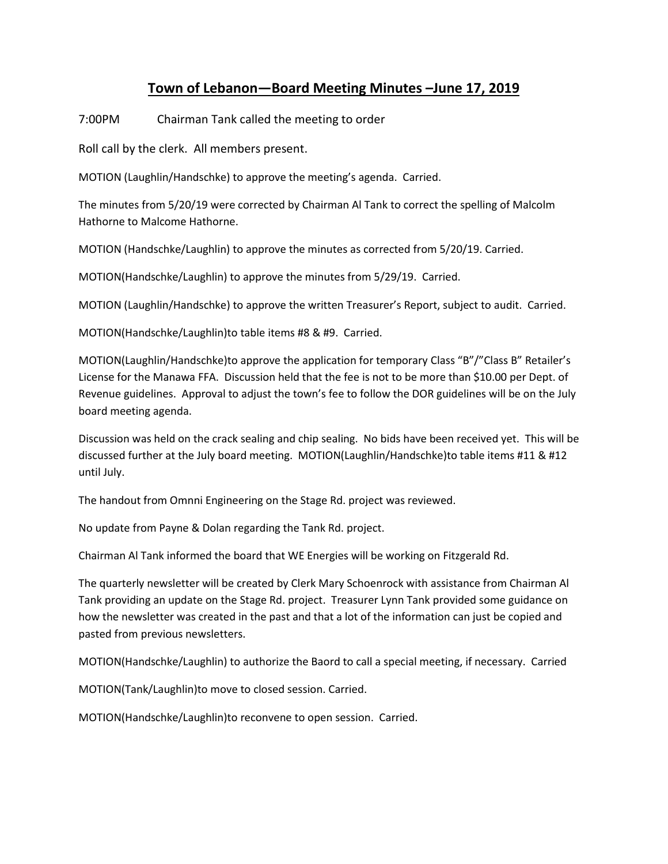## **Town of Lebanon—Board Meeting Minutes –June 17, 2019**

7:00PM Chairman Tank called the meeting to order

Roll call by the clerk. All members present.

MOTION (Laughlin/Handschke) to approve the meeting's agenda. Carried.

The minutes from 5/20/19 were corrected by Chairman Al Tank to correct the spelling of Malcolm Hathorne to Malcome Hathorne.

MOTION (Handschke/Laughlin) to approve the minutes as corrected from 5/20/19. Carried.

MOTION(Handschke/Laughlin) to approve the minutes from 5/29/19. Carried.

MOTION (Laughlin/Handschke) to approve the written Treasurer's Report, subject to audit. Carried.

MOTION(Handschke/Laughlin)to table items #8 & #9. Carried.

MOTION(Laughlin/Handschke)to approve the application for temporary Class "B"/"Class B" Retailer's License for the Manawa FFA. Discussion held that the fee is not to be more than \$10.00 per Dept. of Revenue guidelines. Approval to adjust the town's fee to follow the DOR guidelines will be on the July board meeting agenda.

Discussion was held on the crack sealing and chip sealing. No bids have been received yet. This will be discussed further at the July board meeting. MOTION(Laughlin/Handschke)to table items #11 & #12 until July.

The handout from Omnni Engineering on the Stage Rd. project was reviewed.

No update from Payne & Dolan regarding the Tank Rd. project.

Chairman Al Tank informed the board that WE Energies will be working on Fitzgerald Rd.

The quarterly newsletter will be created by Clerk Mary Schoenrock with assistance from Chairman Al Tank providing an update on the Stage Rd. project. Treasurer Lynn Tank provided some guidance on how the newsletter was created in the past and that a lot of the information can just be copied and pasted from previous newsletters.

MOTION(Handschke/Laughlin) to authorize the Baord to call a special meeting, if necessary. Carried

MOTION(Tank/Laughlin)to move to closed session. Carried.

MOTION(Handschke/Laughlin)to reconvene to open session. Carried.